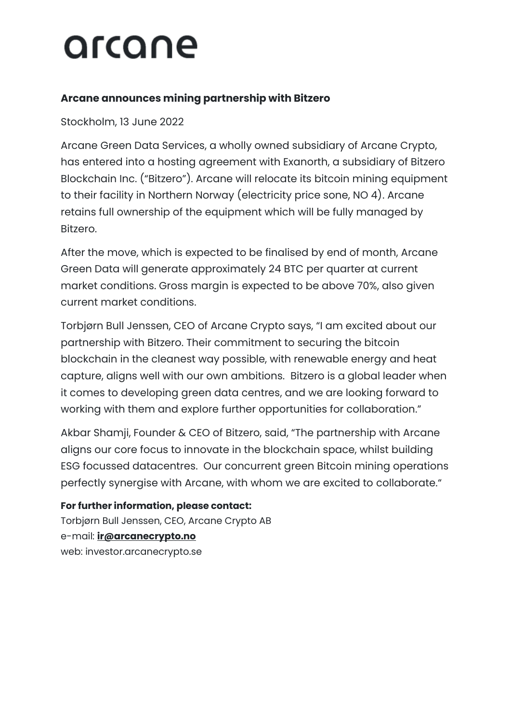## arcane

### **Arcane announces mining partnership with Bitzero**

Stockholm, 13 June 2022

Arcane Green Data Services, a wholly owned subsidiary of Arcane Crypto, has entered into a hosting agreement with Exanorth, a subsidiary of Bitzero Blockchain Inc. ("Bitzero"). Arcane will relocate its bitcoin mining equipment to their facility in Northern Norway (electricity price sone, NO 4). Arcane retains full ownership of the equipment which will be fully managed by Bitzero.

After the move, which is expected to be finalised by end of month, Arcane Green Data will generate approximately 24 BTC per quarter at current market conditions. Gross margin is expected to be above 70%, also given current market conditions.

Torbjørn Bull Jenssen, CEO of Arcane Crypto says, "I am excited about our partnership with Bitzero. Their commitment to securing the bitcoin blockchain in the cleanest way possible, with renewable energy and heat capture, aligns well with our own ambitions. Bitzero is a global leader when it comes to developing green data centres, and we are looking forward to working with them and explore further opportunities for collaboration."

Akbar Shamji, Founder & CEO of Bitzero, said, "The partnership with Arcane aligns our core focus to innovate in the blockchain space, whilst building ESG focussed datacentres. Our concurrent green Bitcoin mining operations perfectly synergise with Arcane, with whom we are excited to collaborate."

**For further information, please contact:** Torbjørn Bull Jenssen, CEO, Arcane Crypto AB e-mail: **[ir@arcanecrypto.no](mailto:ir@arcanecrypto.no)** web: investor.arcanecrypto.se